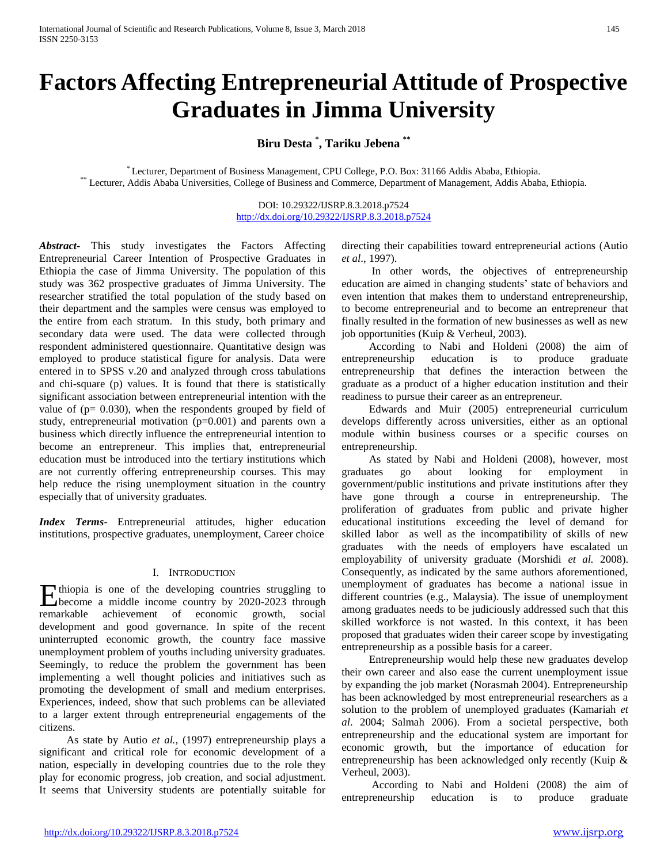# **Factors Affecting Entrepreneurial Attitude of Prospective Graduates in Jimma University**

**Biru Desta \* , Tariku Jebena \*\***

\* Lecturer, Department of Business Management, CPU College, P.O. Box: 31166 Addis Ababa, Ethiopia. \*\* Lecturer, Addis Ababa Universities, College of Business and Commerce, Department of Management, Addis Ababa, Ethiopia.

> DOI: 10.29322/IJSRP.8.3.2018.p7524 <http://dx.doi.org/10.29322/IJSRP.8.3.2018.p7524>

*Abstract***-** This study investigates the Factors Affecting Entrepreneurial Career Intention of Prospective Graduates in Ethiopia the case of Jimma University. The population of this study was 362 prospective graduates of Jimma University. The researcher stratified the total population of the study based on their department and the samples were census was employed to the entire from each stratum. In this study, both primary and secondary data were used. The data were collected through respondent administered questionnaire. Quantitative design was employed to produce statistical figure for analysis. Data were entered in to SPSS v.20 and analyzed through cross tabulations and chi-square (p) values. It is found that there is statistically significant association between entrepreneurial intention with the value of  $(p= 0.030)$ , when the respondents grouped by field of study, entrepreneurial motivation (p=0.001) and parents own a business which directly influence the entrepreneurial intention to become an entrepreneur. This implies that, entrepreneurial education must be introduced into the tertiary institutions which are not currently offering entrepreneurship courses. This may help reduce the rising unemployment situation in the country especially that of university graduates.

*Index Terms*- Entrepreneurial attitudes, higher education institutions, prospective graduates, unemployment, Career choice

#### I. INTRODUCTION

thiopia is one of the developing countries struggling to Ethiopia is one of the developing countries struggling to become a middle income country by 2020-2023 through remarkable achievement of economic growth, social development and good governance. In spite of the recent uninterrupted economic growth, the country face massive unemployment problem of youths including university graduates. Seemingly, to reduce the problem the government has been implementing a well thought policies and initiatives such as promoting the development of small and medium enterprises. Experiences, indeed, show that such problems can be alleviated to a larger extent through entrepreneurial engagements of the citizens.

 As state by Autio *et al.,* (1997) entrepreneurship plays a significant and critical role for economic development of a nation, especially in developing countries due to the role they play for economic progress, job creation, and social adjustment. It seems that University students are potentially suitable for

directing their capabilities toward entrepreneurial actions (Autio *et al*., 1997).

 In other words, the objectives of entrepreneurship education are aimed in changing students' state of behaviors and even intention that makes them to understand entrepreneurship, to become entrepreneurial and to become an entrepreneur that finally resulted in the formation of new businesses as well as new job opportunities (Kuip & Verheul, 2003).

 According to Nabi and Holdeni (2008) the aim of entrepreneurship education is to produce graduate entrepreneurship that defines the interaction between the graduate as a product of a higher education institution and their readiness to pursue their career as an entrepreneur.

 Edwards and Muir (2005) entrepreneurial curriculum develops differently across universities, either as an optional module within business courses or a specific courses on entrepreneurship.

 As stated by Nabi and Holdeni (2008), however, most graduates go about looking for employment in government/public institutions and private institutions after they have gone through a course in entrepreneurship. The proliferation of graduates from public and private higher educational institutions exceeding the level of demand for skilled labor as well as the incompatibility of skills of new graduates with the needs of employers have escalated un employability of university graduate (Morshidi *et al.* 2008). Consequently, as indicated by the same authors aforementioned, unemployment of graduates has become a national issue in different countries (e.g., Malaysia). The issue of unemployment among graduates needs to be judiciously addressed such that this skilled workforce is not wasted. In this context, it has been proposed that graduates widen their career scope by investigating entrepreneurship as a possible basis for a career.

 Entrepreneurship would help these new graduates develop their own career and also ease the current unemployment issue by expanding the job market (Norasmah 2004). Entrepreneurship has been acknowledged by most entrepreneurial researchers as a solution to the problem of unemployed graduates (Kamariah *et al*. 2004; Salmah 2006). From a societal perspective, both entrepreneurship and the educational system are important for economic growth, but the importance of education for entrepreneurship has been acknowledged only recently (Kuip & Verheul, 2003).

 According to Nabi and Holdeni (2008) the aim of entrepreneurship education is to produce graduate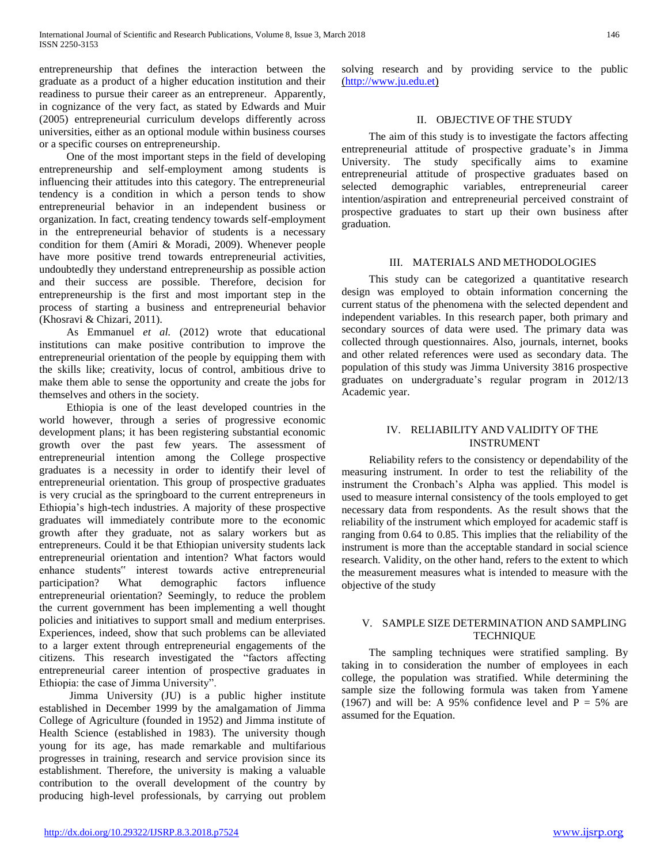entrepreneurship that defines the interaction between the graduate as a product of a higher education institution and their readiness to pursue their career as an entrepreneur. Apparently, in cognizance of the very fact, as stated by Edwards and Muir (2005) entrepreneurial curriculum develops differently across universities, either as an optional module within business courses or a specific courses on entrepreneurship.

 One of the most important steps in the field of developing entrepreneurship and self-employment among students is influencing their attitudes into this category. The entrepreneurial tendency is a condition in which a person tends to show entrepreneurial behavior in an independent business or organization. In fact, creating tendency towards self-employment in the entrepreneurial behavior of students is a necessary condition for them (Amiri & Moradi, 2009). Whenever people have more positive trend towards entrepreneurial activities, undoubtedly they understand entrepreneurship as possible action and their success are possible. Therefore, decision for entrepreneurship is the first and most important step in the process of starting a business and entrepreneurial behavior (Khosravi & Chizari, 2011).

 As Emmanuel *et al.* (2012) wrote that educational institutions can make positive contribution to improve the entrepreneurial orientation of the people by equipping them with the skills like; creativity, locus of control, ambitious drive to make them able to sense the opportunity and create the jobs for themselves and others in the society.

 Ethiopia is one of the least developed countries in the world however, through a series of progressive economic development plans; it has been registering substantial economic growth over the past few years. The assessment of entrepreneurial intention among the College prospective graduates is a necessity in order to identify their level of entrepreneurial orientation. This group of prospective graduates is very crucial as the springboard to the current entrepreneurs in Ethiopia's high-tech industries. A majority of these prospective graduates will immediately contribute more to the economic growth after they graduate, not as salary workers but as entrepreneurs. Could it be that Ethiopian university students lack entrepreneurial orientation and intention? What factors would enhance students" interest towards active entrepreneurial participation? What demographic factors influence entrepreneurial orientation? Seemingly, to reduce the problem the current government has been implementing a well thought policies and initiatives to support small and medium enterprises. Experiences, indeed, show that such problems can be alleviated to a larger extent through entrepreneurial engagements of the citizens. This research investigated the "factors affecting entrepreneurial career intention of prospective graduates in Ethiopia: the case of Jimma University".

 Jimma University (JU) is a public higher institute established in December 1999 by the amalgamation of Jimma College of Agriculture (founded in 1952) and Jimma institute of Health Science (established in 1983). The university though young for its age, has made remarkable and multifarious progresses in training, research and service provision since its establishment. Therefore, the university is making a valuable contribution to the overall development of the country by producing high-level professionals, by carrying out problem solving research and by providing service to the public [\(http://www.ju.edu.et\)](http://www.ju.edu.et/)

# II. OBJECTIVE OF THE STUDY

 The aim of this study is to investigate the factors affecting entrepreneurial attitude of prospective graduate's in Jimma University. The study specifically aims to examine entrepreneurial attitude of prospective graduates based on selected demographic variables, entrepreneurial career intention/aspiration and entrepreneurial perceived constraint of prospective graduates to start up their own business after graduation.

# III. MATERIALS AND METHODOLOGIES

 This study can be categorized a quantitative research design was employed to obtain information concerning the current status of the phenomena with the selected dependent and independent variables. In this research paper, both primary and secondary sources of data were used. The primary data was collected through questionnaires. Also, journals, internet, books and other related references were used as secondary data. The population of this study was Jimma University 3816 prospective graduates on undergraduate's regular program in 2012/13 Academic year.

# IV. RELIABILITY AND VALIDITY OF THE INSTRUMENT

 Reliability refers to the consistency or dependability of the measuring instrument. In order to test the reliability of the instrument the Cronbach's Alpha was applied. This model is used to measure internal consistency of the tools employed to get necessary data from respondents. As the result shows that the reliability of the instrument which employed for academic staff is ranging from 0.64 to 0.85. This implies that the reliability of the instrument is more than the acceptable standard in social science research. Validity, on the other hand, refers to the extent to which the measurement measures what is intended to measure with the objective of the study

# V. SAMPLE SIZE DETERMINATION AND SAMPLING **TECHNIQUE**

 The sampling techniques were stratified sampling. By taking in to consideration the number of employees in each college, the population was stratified. While determining the sample size the following formula was taken from Yamene (1967) and will be: A 95% confidence level and  $P = 5%$  are assumed for the Equation.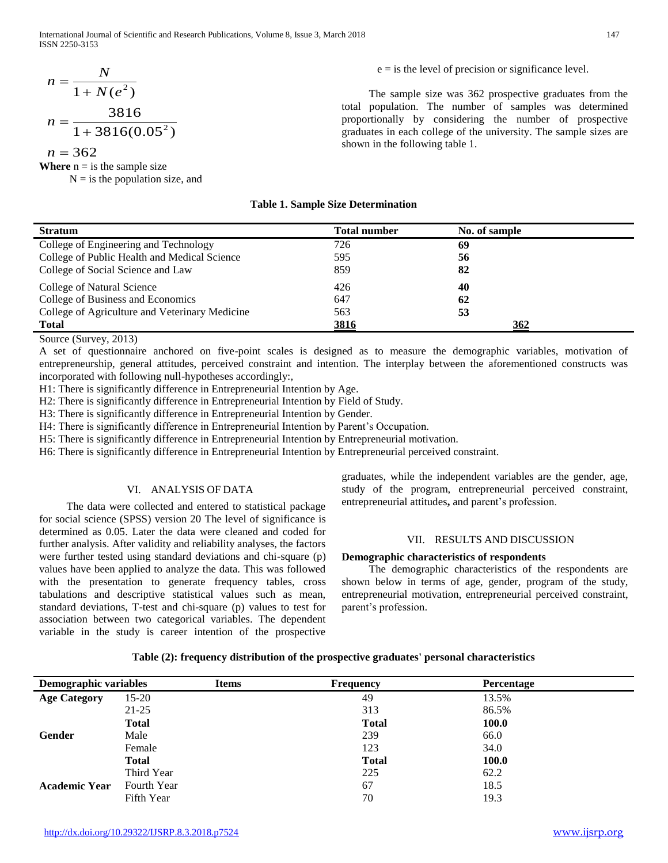International Journal of Scientific and Research Publications, Volume 8, Issue 3, March 2018 147 ISSN 2250-3153

$$
n = \frac{N}{1 + N(e^{2})}
$$

$$
n = \frac{3816}{1 + 3816(0.05^{2})}
$$

 $n = 362$ 

**Where**  $n = i$  is the sample size

 $N = i$  s the population size, and

 The sample size was 362 prospective graduates from the total population. The number of samples was determined proportionally by considering the number of prospective graduates in each college of the university. The sample sizes are shown in the following table 1.

 $e = i$  s the level of precision or significance level.

| <b>Stratum</b>                                 | <b>Total number</b> | No. of sample |
|------------------------------------------------|---------------------|---------------|
| College of Engineering and Technology          | 726                 | 69            |
| College of Public Health and Medical Science   | 595                 | 56            |
| College of Social Science and Law              | 859                 | 82            |
| College of Natural Science                     | 426                 | 40            |
| College of Business and Economics              | 647                 | 62            |
| College of Agriculture and Veterinary Medicine | 563                 | 53            |
| <b>Total</b>                                   | 3816                | <u>362</u>    |

**Table 1. Sample Size Determination**

Source (Survey, 2013)

A set of questionnaire anchored on five-point scales is designed as to measure the demographic variables, motivation of entrepreneurship, general attitudes, perceived constraint and intention. The interplay between the aforementioned constructs was incorporated with following null-hypotheses accordingly:*,*

H1: There is significantly difference in Entrepreneurial Intention by Age.

H2: There is significantly difference in Entrepreneurial Intention by Field of Study.

H3: There is significantly difference in Entrepreneurial Intention by Gender.

H4: There is significantly difference in Entrepreneurial Intention by Parent's Occupation.

H5: There is significantly difference in Entrepreneurial Intention by Entrepreneurial motivation.

H6: There is significantly difference in Entrepreneurial Intention by Entrepreneurial perceived constraint.

#### VI. ANALYSIS OF DATA

 The data were collected and entered to statistical package for social science (SPSS) version 20 The level of significance is determined as 0.05. Later the data were cleaned and coded for further analysis. After validity and reliability analyses, the factors were further tested using standard deviations and chi-square (p) values have been applied to analyze the data. This was followed with the presentation to generate frequency tables, cross tabulations and descriptive statistical values such as mean, standard deviations, T-test and chi-square (p) values to test for association between two categorical variables. The dependent variable in the study is career intention of the prospective graduates, while the independent variables are the gender, age, study of the program, entrepreneurial perceived constraint, entrepreneurial attitudes**,** and parent's profession.

# VII. RESULTS AND DISCUSSION

#### **Demographic characteristics of respondents**

 The demographic characteristics of the respondents are shown below in terms of age, gender, program of the study, entrepreneurial motivation, entrepreneurial perceived constraint, parent's profession.

# **Table (2): frequency distribution of the prospective graduates' personal characteristics**

| <b>Demographic variables</b> |                   | <b>Items</b> | Frequency |              |              | Percentage |
|------------------------------|-------------------|--------------|-----------|--------------|--------------|------------|
| <b>Age Category</b>          | $15-20$           |              |           | 49           | 13.5%        |            |
|                              | $21 - 25$         |              |           | 313          | 86.5%        |            |
|                              | <b>Total</b>      |              |           | <b>Total</b> | <b>100.0</b> |            |
| Gender                       | Male              |              |           | 239          | 66.0         |            |
|                              | Female            |              |           | 123          | 34.0         |            |
|                              | <b>Total</b>      |              |           | <b>Total</b> | 100.0        |            |
|                              | Third Year        |              |           | 225          | 62.2         |            |
| <b>Academic Year</b>         | Fourth Year       |              |           | 67           | 18.5         |            |
|                              | <b>Fifth Year</b> |              |           | 70           | 19.3         |            |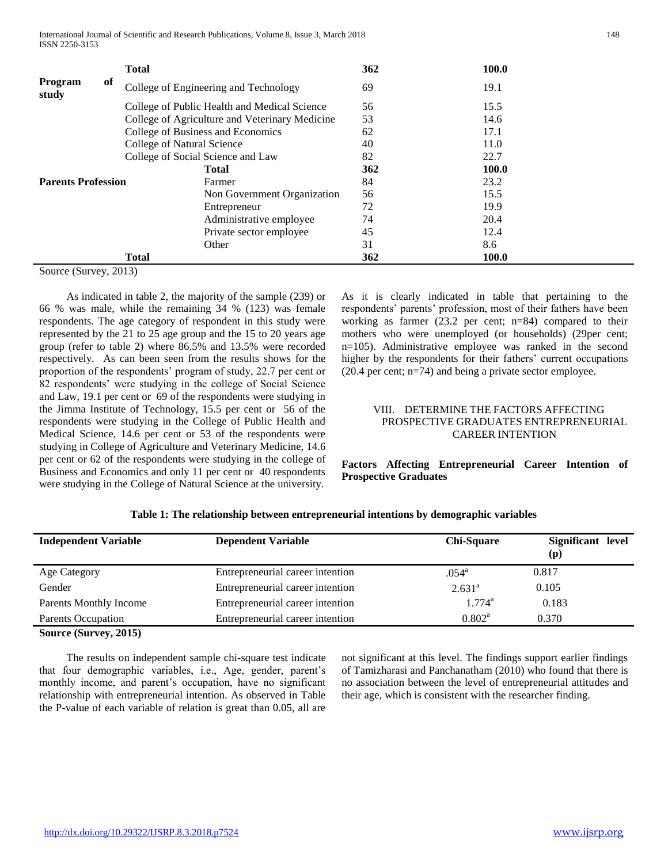International Journal of Scientific and Research Publications, Volume 8, Issue 3, March 2018 148 ISSN 2250-3153

|                           | <b>Total</b>               |                                                | 362 | 100.0 |
|---------------------------|----------------------------|------------------------------------------------|-----|-------|
| of<br>Program<br>study    |                            | College of Engineering and Technology          | 69  | 19.1  |
|                           |                            | College of Public Health and Medical Science   | 56  | 15.5  |
|                           |                            | College of Agriculture and Veterinary Medicine | 53  | 14.6  |
|                           |                            | College of Business and Economics              | 62  | 17.1  |
|                           | College of Natural Science |                                                | 40  | 11.0  |
|                           |                            | College of Social Science and Law              | 82  | 22.7  |
|                           |                            | <b>Total</b>                                   | 362 | 100.0 |
| <b>Parents Profession</b> |                            | Farmer                                         | 84  | 23.2  |
|                           |                            | Non Government Organization                    | 56  | 15.5  |
|                           |                            | Entrepreneur                                   | 72  | 19.9  |
|                           |                            | Administrative employee                        | 74  | 20.4  |
|                           |                            | Private sector employee                        | 45  | 12.4  |
|                           |                            | Other                                          | 31  | 8.6   |
|                           | <b>Total</b>               |                                                | 362 | 100.0 |

Source (Survey, 2013)

 As indicated in table 2, the majority of the sample (239) or 66 % was male, while the remaining 34 % (123) was female respondents. The age category of respondent in this study were represented by the 21 to 25 age group and the 15 to 20 years age group (refer to table 2) where 86.5% and 13.5% were recorded respectively. As can been seen from the results shows for the proportion of the respondents' program of study, 22.7 per cent or 82 respondents' were studying in the college of Social Science and Law, 19.1 per cent or 69 of the respondents were studying in the Jimma Institute of Technology, 15.5 per cent or 56 of the respondents were studying in the College of Public Health and Medical Science, 14.6 per cent or 53 of the respondents were studying in College of Agriculture and Veterinary Medicine, 14.6 per cent or 62 of the respondents were studying in the college of Business and Economics and only 11 per cent or 40 respondents were studying in the College of Natural Science at the university.

As it is clearly indicated in table that pertaining to the respondents' parents' profession, most of their fathers have been working as farmer (23.2 per cent; n=84) compared to their mothers who were unemployed (or households) (29per cent; n=105). Administrative employee was ranked in the second higher by the respondents for their fathers' current occupations (20.4 per cent; n=74) and being a private sector employee.

# VIII. DETERMINE THE FACTORS AFFECTING PROSPECTIVE GRADUATES ENTREPRENEURIAL CAREER INTENTION

**Factors Affecting Entrepreneurial Career Intention of Prospective Graduates** 

| <b>Independent Variable</b>   | <b>Dependent Variable</b>        | <b>Chi-Square</b> | Significant level<br>(p) |
|-------------------------------|----------------------------------|-------------------|--------------------------|
| Age Category                  | Entrepreneurial career intention | $.054^{\circ}$    | 0.817                    |
| Gender                        | Entrepreneurial career intention | $2.631^a$         | 0.105                    |
| <b>Parents Monthly Income</b> | Entrepreneurial career intention | $1.774^a$         | 0.183                    |
| <b>Parents Occupation</b>     | Entrepreneurial career intention | $0.802^{\rm a}$   | 0.370                    |
| Source (Survey, 2015)         |                                  |                   |                          |

|  | Table 1: The relationship between entrepreneurial intentions by demographic variables |  |  |
|--|---------------------------------------------------------------------------------------|--|--|
|--|---------------------------------------------------------------------------------------|--|--|

 The results on independent sample chi-square test indicate that four demographic variables, i.e., Age, gender, parent's monthly income, and parent's occupation, have no significant relationship with entrepreneurial intention. As observed in Table the P-value of each variable of relation is great than 0.05, all are

not significant at this level. The findings support earlier findings of Tamizharasi and Panchanatham (2010) who found that there is no association between the level of entrepreneurial attitudes and their age, which is consistent with the researcher finding.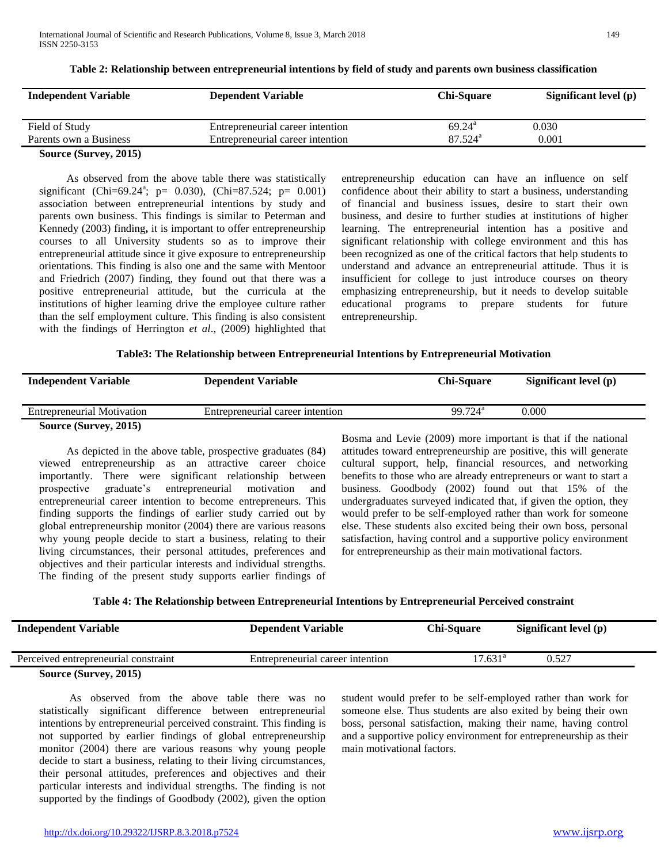| <b>Independent Variable</b> | <b>Dependent Variable</b>        | <b>Chi-Square</b>     | Significant level (p) |
|-----------------------------|----------------------------------|-----------------------|-----------------------|
|                             |                                  |                       |                       |
| Field of Study              | Entrepreneurial career intention | $69.24^{\rm a}$       | 0.030                 |
| Parents own a Business      | Entrepreneurial career intention | $87.524$ <sup>a</sup> | 0.001                 |
| Source (Survey, 2015)       |                                  |                       |                       |

**Table 2: Relationship between entrepreneurial intentions by field of study and parents own business classification**

 As observed from the above table there was statistically significant (Chi=69.24<sup>a</sup>; p= 0.030), (Chi=87.524; p= 0.001) association between entrepreneurial intentions by study and parents own business. This findings is similar to Peterman and Kennedy (2003) finding**,** it is important to offer entrepreneurship courses to all University students so as to improve their entrepreneurial attitude since it give exposure to entrepreneurship orientations. This finding is also one and the same with Mentoor and Friedrich (2007) finding, they found out that there was a positive entrepreneurial attitude, but the curricula at the institutions of higher learning drive the employee culture rather than the self employment culture. This finding is also consistent with the findings of Herrington *et al*., (2009) highlighted that

entrepreneurship education can have an influence on self confidence about their ability to start a business, understanding of financial and business issues, desire to start their own business, and desire to further studies at institutions of higher learning. The entrepreneurial intention has a positive and significant relationship with college environment and this has been recognized as one of the critical factors that help students to understand and advance an entrepreneurial attitude. Thus it is insufficient for college to just introduce courses on theory emphasizing entrepreneurship, but it needs to develop suitable educational programs to prepare students for future entrepreneurship.

| <b>Independent Variable</b>       | <b>Dependent Variable</b>        | <b>Chi-Square</b>   | Significant level (p) |
|-----------------------------------|----------------------------------|---------------------|-----------------------|
| <b>Entrepreneurial Motivation</b> | Entrepreneurial career intention | 99.724 <sup>a</sup> | 0.000                 |
| Source (Survey, 2015)             |                                  |                     |                       |

 As depicted in the above table, prospective graduates (84) viewed entrepreneurship as an attractive career choice importantly. There were significant relationship between prospective graduate's entrepreneurial motivation and entrepreneurial career intention to become entrepreneurs. This finding supports the findings of earlier study carried out by global entrepreneurship monitor (2004) there are various reasons why young people decide to start a business, relating to their living circumstances, their personal attitudes, preferences and objectives and their particular interests and individual strengths. The finding of the present study supports earlier findings of

Bosma and Levie (2009) more important is that if the national attitudes toward entrepreneurship are positive, this will generate cultural support, help, financial resources, and networking benefits to those who are already entrepreneurs or want to start a business. Goodbody (2002) found out that 15% of the undergraduates surveyed indicated that, if given the option, they would prefer to be self-employed rather than work for someone else. These students also excited being their own boss, personal satisfaction, having control and a supportive policy environment for entrepreneurship as their main motivational factors.

**Table 4: The Relationship between Entrepreneurial Intentions by Entrepreneurial Perceived constraint**

| <b>Independent Variable</b>                                                         | <b>Dependent Variable</b>        | <b>Chi-Square</b> | Significant level (p) |
|-------------------------------------------------------------------------------------|----------------------------------|-------------------|-----------------------|
| Perceived entrepreneurial constraint                                                | Entrepreneurial career intention | $17.631^{\circ}$  | 0.527                 |
| $\mathcal{L}_{\text{oumon}}(\mathcal{C}_{\text{untrion}}, \mathcal{D}(\mathcal{C})$ |                                  |                   |                       |

# **Source (Survey, 2015)**

 As observed from the above table there was no statistically significant difference between entrepreneurial intentions by entrepreneurial perceived constraint. This finding is not supported by earlier findings of global entrepreneurship monitor (2004) there are various reasons why young people decide to start a business, relating to their living circumstances, their personal attitudes, preferences and objectives and their particular interests and individual strengths. The finding is not supported by the findings of Goodbody (2002), given the option student would prefer to be self-employed rather than work for someone else. Thus students are also exited by being their own boss, personal satisfaction, making their name, having control and a supportive policy environment for entrepreneurship as their main motivational factors.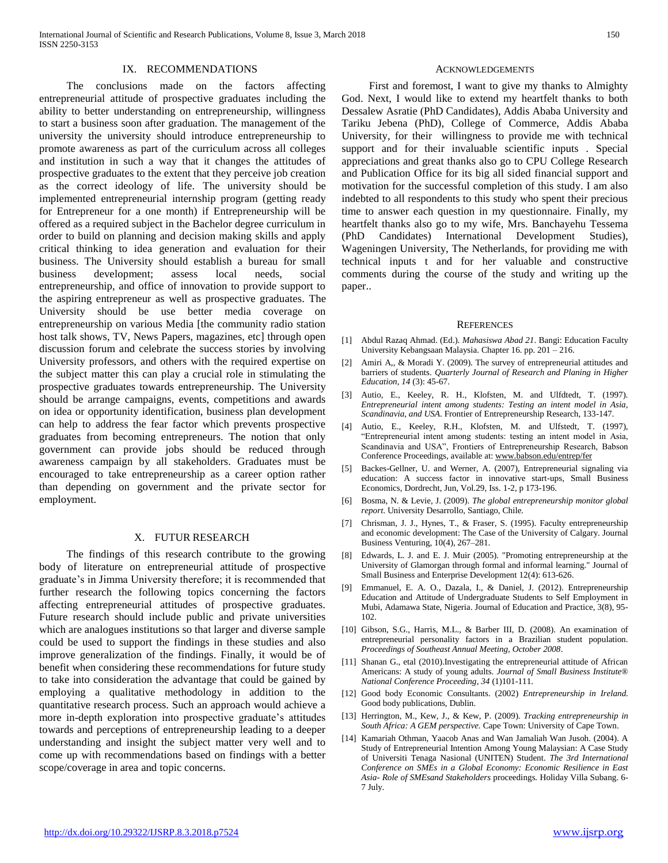# IX. RECOMMENDATIONS

 The conclusions made on the factors affecting entrepreneurial attitude of prospective graduates including the ability to better understanding on entrepreneurship, willingness to start a business soon after graduation. The management of the university the university should introduce entrepreneurship to promote awareness as part of the curriculum across all colleges and institution in such a way that it changes the attitudes of prospective graduates to the extent that they perceive job creation as the correct ideology of life. The university should be implemented entrepreneurial internship program (getting ready for Entrepreneur for a one month) if Entrepreneurship will be offered as a required subject in the Bachelor degree curriculum in order to build on planning and decision making skills and apply critical thinking to idea generation and evaluation for their business. The University should establish a bureau for small business development; assess local needs, social entrepreneurship, and office of innovation to provide support to the aspiring entrepreneur as well as prospective graduates. The University should be use better media coverage on entrepreneurship on various Media [the community radio station host talk shows, TV, News Papers, magazines, etc] through open discussion forum and celebrate the success stories by involving University professors, and others with the required expertise on the subject matter this can play a crucial role in stimulating the prospective graduates towards entrepreneurship. The University should be arrange campaigns, events, competitions and awards on idea or opportunity identification, business plan development can help to address the fear factor which prevents prospective graduates from becoming entrepreneurs. The notion that only government can provide jobs should be reduced through awareness campaign by all stakeholders. Graduates must be encouraged to take entrepreneurship as a career option rather than depending on government and the private sector for employment.

### X. FUTUR RESEARCH

 The findings of this research contribute to the growing body of literature on entrepreneurial attitude of prospective graduate's in Jimma University therefore; it is recommended that further research the following topics concerning the factors affecting entrepreneurial attitudes of prospective graduates. Future research should include public and private universities which are analogues institutions so that larger and diverse sample could be used to support the findings in these studies and also improve generalization of the findings. Finally, it would be of benefit when considering these recommendations for future study to take into consideration the advantage that could be gained by employing a qualitative methodology in addition to the quantitative research process. Such an approach would achieve a more in-depth exploration into prospective graduate's attitudes towards and perceptions of entrepreneurship leading to a deeper understanding and insight the subject matter very well and to come up with recommendations based on findings with a better scope/coverage in area and topic concerns.

#### ACKNOWLEDGEMENTS

 First and foremost, I want to give my thanks to Almighty God. Next, I would like to extend my heartfelt thanks to both Dessalew Asratie (PhD Candidates), Addis Ababa University and Tariku Jebena (PhD), College of Commerce, Addis Ababa University, for their willingness to provide me with technical support and for their invaluable scientific inputs . Special appreciations and great thanks also go to CPU College Research and Publication Office for its big all sided financial support and motivation for the successful completion of this study. I am also indebted to all respondents to this study who spent their precious time to answer each question in my questionnaire. Finally, my heartfelt thanks also go to my wife, Mrs. Banchayehu Tessema (PhD Candidates) International Development Studies), Wageningen University, The Netherlands, for providing me with technical inputs t and for her valuable and constructive comments during the course of the study and writing up the paper..

#### **REFERENCES**

- [1] Abdul Razaq Ahmad. (Ed.). *Mahasiswa Abad 21*. Bangi: Education Faculty University Kebangsaan Malaysia. Chapter 16. pp. 201 – 216.
- [2] Amiri A,, & Moradi Y. (2009). The survey of entrepreneurial attitudes and barriers of students. *Quarterly Journal of Research and Planing in Higher Education, 14* (3): 45-67.
- [3] Autio, E., Keeley, R. H., Klofsten, M. and Ulfdtedt, T. (1997). *Entrepreneurial intent among students: Testing an intent model in Asia, Scandinavia, and USA*. Frontier of Entrepreneurship Research, 133-147.
- [4] Autio, E., Keeley, R.H., Klofsten, M. and Ulfstedt, T. (1997), "Entrepreneurial intent among students: testing an intent model in Asia, Scandinavia and USA", Frontiers of Entrepreneurship Research, Babson Conference Proceedings, available at[: www.babson.edu/entrep/fer](http://www.babson.edu/entrep/fer)
- [5] Backes-Gellner, U. and Werner, A. (2007), Entrepreneurial signaling via education: A success factor in innovative start-ups, Small Business Economics, Dordrecht, Jun, Vol.29, Iss. 1-2, p 173-196.
- [6] Bosma, N. & Levie, J. (2009). *The global entrepreneurship monitor global report*. University Desarrollo, Santiago, Chile.
- [7] Chrisman, J. J., Hynes, T., & Fraser, S. (1995). Faculty entrepreneurship and economic development: The Case of the University of Calgary. Journal Business Venturing, 10(4), 267–281.
- [8] Edwards, L. J. and E. J. Muir (2005). "Promoting entrepreneurship at the University of Glamorgan through formal and informal learning." Journal of Small Business and Enterprise Development 12(4): 613-626.
- [9] Emmanuel, E. A. O., Dazala, I., & Daniel, J. (2012). Entrepreneurship Education and Attitude of Undergraduate Students to Self Employment in Mubi, Adamawa State, Nigeria. Journal of Education and Practice, 3(8), 95- 102.
- [10] Gibson, S.G., Harris, M.L., & Barber III, D. (2008). An examination of entrepreneurial personality factors in a Brazilian student population. *Proceedings of Southeast Annual Meeting, October 2008*.
- [11] Shanan G., etal (2010).Investigating the entrepreneurial attitude of African Americans: A study of young adults. *Journal of Small Business Institute® National Conference Proceeding*, *34* (1)101-111.
- [12] Good body Economic Consultants. (2002) *Entrepreneurship in Ireland.*  Good body publications, Dublin.
- [13] Herrington, M., Kew, J., & Kew, P. (2009). *Tracking entrepreneurship in South Africa: A GEM perspective.* Cape Town: University of Cape Town.
- [14] Kamariah Othman, Yaacob Anas and Wan Jamaliah Wan Jusoh. (2004). A Study of Entrepreneurial Intention Among Young Malaysian: A Case Study of Universiti Tenaga Nasional (UNITEN) Student. *The 3rd International Conference on SMEs in a Global Economy: Economic Resilience in East Asia- Role of SMEsand Stakeholders* proceedings*.* Holiday Villa Subang. 6- 7 July.